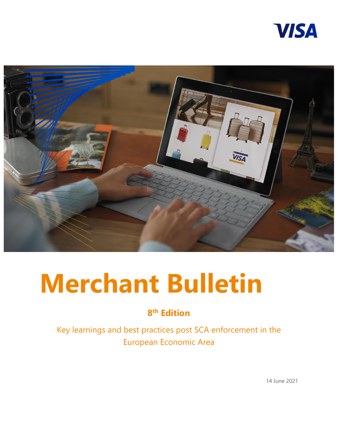



# **Merchant Bulletin**

# **8 th Edition**

Key learnings and best practices post SCA enforcement in the European Economic Area

14 June 2021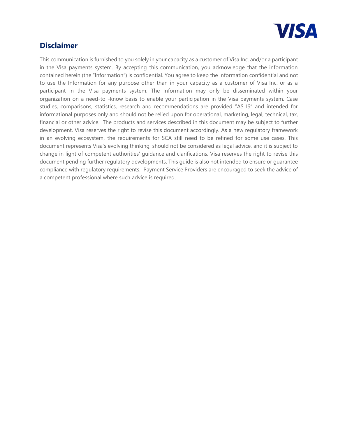

# **Disclaimer**

This communication is furnished to you solely in your capacity as a customer of Visa Inc. and/or a participant in the Visa payments system. By accepting this communication, you acknowledge that the information contained herein (the "Information") is confidential. You agree to keep the Information confidential and not to use the Information for any purpose other than in your capacity as a customer of Visa Inc. or as a participant in the Visa payments system. The Information may only be disseminated within your organization on a need-to -know basis to enable your participation in the Visa payments system. Case studies, comparisons, statistics, research and recommendations are provided "AS IS" and intended for informational purposes only and should not be relied upon for operational, marketing, legal, technical, tax, financial or other advice. The products and services described in this document may be subject to further development. Visa reserves the right to revise this document accordingly. As a new regulatory framework in an evolving ecosystem, the requirements for SCA still need to be refined for some use cases. This document represents Visa's evolving thinking, should not be considered as legal advice, and it is subject to change in light of competent authorities' guidance and clarifications. Visa reserves the right to revise this document pending further regulatory developments. This guide is also not intended to ensure or guarantee compliance with regulatory requirements. Payment Service Providers are encouraged to seek the advice of a competent professional where such advice is required.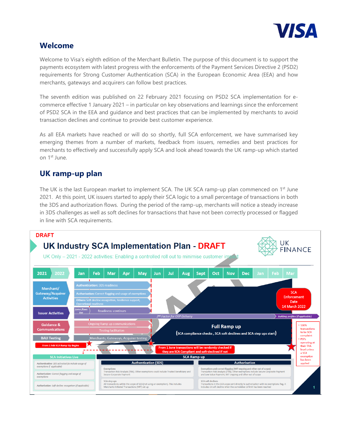

# **Welcome**

Welcome to Visa's eighth edition of the Merchant Bulletin. The purpose of this document is to support the payments ecosystem with latest progress with the enforcements of the Payment Services Directive 2 (PSD2) requirements for Strong Customer Authentication (SCA) in the European Economic Area (EEA) and how merchants, gateways and acquirers can follow best practices.

The seventh edition was published on 22 February 2021 focusing on PSD2 SCA implementation for ecommerce effective 1 January 2021 – in particular on key observations and learnings since the enforcement of PSD2 SCA in the EEA and guidance and best practices that can be implemented by merchants to avoid transaction declines and continue to provide best customer experience.

As all EEA markets have reached or will do so shortly, full SCA enforcement, we have summarised key emerging themes from a number of markets, feedback from issuers, remedies and best practices for merchants to effectively and successfully apply SCA and look ahead towards the UK ramp-up which started on 1st June.

# **UK ramp-up plan**

The UK is the last European market to implement SCA. The UK SCA ramp-up plan commenced on 1<sup>st</sup> June 2021. At this point, UK issuers started to apply their SCA logic to a small percentage of transactions in both the 3DS and authorization flows. During the period of the ramp-up, merchants will notice a steady increase in 3DS challenges as well as soft declines for transactions that have not been correctly processed or flagged in line with SCA requirements.

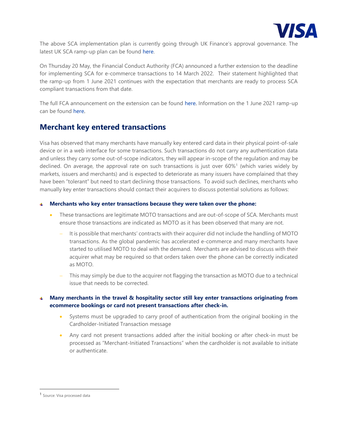

The above SCA implementation plan is currently going through UK Finance's approval governance. The latest UK SCA ramp-up plan can be found [here.](https://www.ukfinance.org.uk/system/files/Revised%20Ramp%20Up%20Plan%20May%202021%20-%20eMerchants%20and%20Gateways%20v1.0.pdf#overlay-context=strong-customer-authentication/e-merchants)

On Thursday 20 May, the Financial Conduct Authority (FCA) announced a further extension to the deadline for implementing SCA for e-commerce transactions to 14 March 2022. Their statement highlighted that the ramp-up from 1 June 2021 continues with the expectation that merchants are ready to process SCA compliant transactions from that date.

The full FCA announcement on the extension can be found [here.](https://www.fca.org.uk/news/statements/deadline-extension-strong-customer-authentication) Information on the 1 June 2021 ramp-up can be found [here.](https://www.fca.org.uk/firms/strong-customer-authentication) 

# **Merchant key entered transactions**

Visa has observed that many merchants have manually key entered card data in their physical point-of-sale device or in a web interface for some transactions. Such transactions do not carry any authentication data and unless they carry some out-of-scope indicators, they will appear in-scope of the regulation and may be declined. On average, the approval rate on such transactions is just over 60%<sup>1</sup> (which varies widely by markets, issuers and merchants) and is expected to deteriorate as many issuers have complained that they have been "tolerant" but need to start declining those transactions. To avoid such declines, merchants who manually key enter transactions should contact their acquirers to discuss potential solutions as follows:

#### **Merchants who key enter transactions because they were taken over the phone:**

- These transactions are legitimate MOTO transactions and are out-of-scope of SCA. Merchants must ensure those transactions are indicated as MOTO as it has been observed that many are not.
	- It is possible that merchants' contracts with their acquirer did not include the handling of MOTO transactions. As the global pandemic has accelerated e-commerce and many merchants have started to utilised MOTO to deal with the demand. Merchants are advised to discuss with their acquirer what may be required so that orders taken over the phone can be correctly indicated as MOTO.
	- This may simply be due to the acquirer not flagging the transaction as MOTO due to a technical issue that needs to be corrected.

#### **Many merchants in the travel & hospitality sector still key enter transactions originating from ecommerce bookings or card not present transactions after check-in.**

- Systems must be upgraded to carry proof of authentication from the original booking in the Cardholder-Initiated Transaction message
- Any card not present transactions added after the initial booking or after check-in must be processed as "Merchant-Initiated Transactions" when the cardholder is not available to initiate or authenticate.

<sup>1</sup> Source: Visa processed data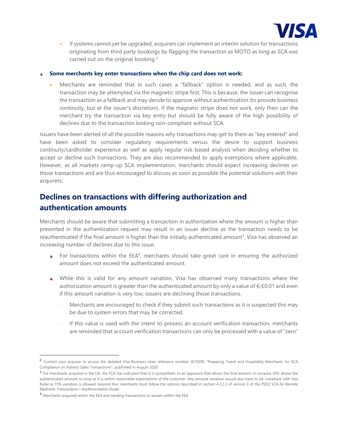

• If systems cannot yet be upgraded, acquirers can implement an interim solution for transactions originating from third party bookings by flagging the transaction as MOTO as long as SCA was carried out on the original booking.<sup>2</sup>

#### **Some merchants key enter transactions when the chip card does not work:**

• Merchants are reminded that in such cases a "fallback" option is needed, and as such, the transaction may be attempted via the magnetic stripe first. This is because, the issuer can recognise the transaction as a fallback and may decide to approve without authentication (to provide business continuity, but at the issuer's discretion). If the magnetic stripe does not work, only then can the merchant try the transaction via key entry but should be fully aware of the high possibility of declines due to the transaction looking non-compliant without SCA.

Issuers have been alerted of all the possible reasons why transactions may get to them as "key entered" and have been asked to consider regulatory requirements versus the desire to support business continuity/cardholder experience as well as apply regular risk-based analysis when deciding whether to accept or decline such transactions. They are also recommended to apply exemptions where applicable. However, as all markets ramp-up SCA implementation, merchants should expect increasing declines on those transactions and are thus encouraged to discuss as soon as possible the potential solutions with their acquirers.

# **Declines on transactions with differing authorization and authentication amounts**

Merchants should be aware that submitting a transaction in authorization where the amount is higher than presented in the authentication request may result in an issuer decline as the transaction needs to be reauthenticated if the final amount is higher than the initially authenticated amount<sup>3</sup>. Visa has observed an increasing number of declines due to this issue.

- For transactions within the EEA<sup>4</sup>, merchants should take great care in ensuring the authorized amount does not exceed the authenticated amount.
- While this is valid for any amount variation, Visa has observed many transactions where the authorization amount is greater than the authenticated amount by only a value of €/£0.01 and even if this amount variation is very low, issuers are declining those transactions.
	- − Merchants are encouraged to check if they submit such transactions as it is suspected this may be due to system errors that may be corrected.
	- If this value is used with the intent to process an account verification transaction, merchants are reminded that account verification transactions can only be processed with a value of "zero"

<sup>&</sup>lt;sup>2</sup> Contact your acquirer to access the detailed Visa Business news reference number: AI10295 "Preparing Travel and Hospitality Merchants for SCA Compliance on Indirect Sales Transactions", published in August 2020

 $3$  For merchants acquired in the UK, the FCA has indicated that it is sympathetic to an approach that allows the final amount to increase 20% above the authenticated amount so long as it is within reasonable expectations of the customer. Any amount variation would also have to be compliant with Visa Rules (a 15% variation is allowed, beyond this, merchants must follow the options described in section 4.2.2.3 of version 3 of *the PSD2 SCA for Remote Electronic Transactions—Implementation Guide*.

<sup>4</sup> Merchants acquired within the EEA and sending transactions to issuers within the EEA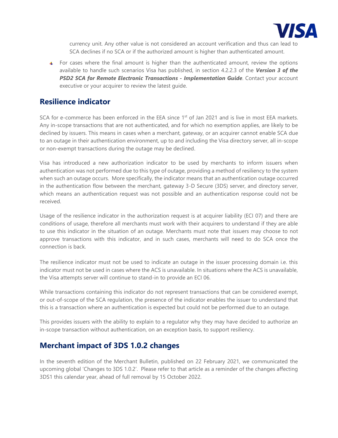

currency unit. Any other value is not considered an account verification and thus can lead to SCA declines if no SCA or if the authorized amount is higher than authenticated amount.

 $\uparrow$  For cases where the final amount is higher than the authenticated amount, review the options available to handle such scenarios Visa has published, in section 4.2.2.3 of the *Version 3 of the PSD2 SCA for Remote Electronic Transactions - Implementation Guide*. Contact your account executive or your acquirer to review the latest guide.

## **Resilience indicator**

SCA for e-commerce has been enforced in the EEA since 1<sup>st</sup> of Jan 2021 and is live in most EEA markets. Any in-scope transactions that are not authenticated, and for which no exemption applies, are likely to be declined by issuers. This means in cases when a merchant, gateway, or an acquirer cannot enable SCA due to an outage in their authentication environment, up to and including the Visa directory server, all in-scope or non-exempt transactions during the outage may be declined.

Visa has introduced a new authorization indicator to be used by merchants to inform issuers when authentication was not performed due to this type of outage, providing a method of resiliency to the system when such an outage occurs. More specifically, the indicator means that an authentication outage occurred in the authentication flow between the merchant, gateway 3-D Secure (3DS) server, and directory server, which means an authentication request was not possible and an authentication response could not be received.

Usage of the resilience indicator in the authorization request is at acquirer liability (ECI 07) and there are conditions of usage, therefore all merchants must work with their acquirers to understand if they are able to use this indicator in the situation of an outage. Merchants must note that issuers may choose to not approve transactions with this indicator, and in such cases, merchants will need to do SCA once the connection is back.

The resilience indicator must not be used to indicate an outage in the issuer processing domain i.e. this indicator must not be used in cases where the ACS is unavailable. In situations where the ACS is unavailable, the Visa attempts server will continue to stand-in to provide an ECI 06.

While transactions containing this indicator do not represent transactions that can be considered exempt, or out-of-scope of the SCA regulation, the presence of the indicator enables the issuer to understand that this is a transaction where an authentication is expected but could not be performed due to an outage.

This provides issuers with the ability to explain to a regulator why they may have decided to authorize an in-scope transaction without authentication, on an exception basis, to support resiliency.

# **Merchant impact of 3DS 1.0.2 changes**

In the seventh edition of the Merchant Bulletin, published on 22 February 2021, we communicated the upcoming global 'Changes to 3DS 1.0.2'. Please refer to that article as a reminder of the changes affecting 3DS1 this calendar year, ahead of full removal by 15 October 2022.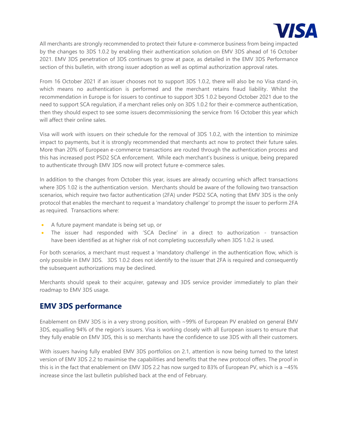

All merchants are strongly recommended to protect their future e-commerce business from being impacted by the changes to 3DS 1.0.2 by enabling their authentication solution on EMV 3DS ahead of 16 October 2021. EMV 3DS penetration of 3DS continues to grow at pace, as detailed in the EMV 3DS Performance section of this bulletin, with strong issuer adoption as well as optimal authorization approval rates.

From 16 October 2021 if an issuer chooses not to support 3DS 1.0.2, there will also be no Visa stand-in, which means no authentication is performed and the merchant retains fraud liability. Whilst the recommendation in Europe is for issuers to continue to support 3DS 1.0.2 beyond October 2021 due to the need to support SCA regulation, if a merchant relies only on 3DS 1.0.2 for their e-commerce authentication, then they should expect to see some issuers decommissioning the service from 16 October this year which will affect their online sales.

Visa will work with issuers on their schedule for the removal of 3DS 1.0.2, with the intention to minimize impact to payments, but it is strongly recommended that merchants act now to protect their future sales. More than 20% of European e-commerce transactions are routed through the authentication process and this has increased post PSD2 SCA enforcement. While each merchant's business is unique, being prepared to authenticate through EMV 3DS now will protect future e-commerce sales.

In addition to the changes from October this year, issues are already occurring which affect transactions where 3DS 1.02 is the authentication version. Merchants should be aware of the following two transaction scenarios, which require two factor authentication (2FA) under PSD2 SCA, noting that EMV 3DS is the only protocol that enables the merchant to request a 'mandatory challenge' to prompt the issuer to perform 2FA as required. Transactions where:

- A future payment mandate is being set up, or
- The issuer had responded with 'SCA Decline' in a direct to authorization transaction have been identified as at higher risk of not completing successfully when 3DS 1.0.2 is used.

For both scenarios, a merchant must request a 'mandatory challenge' in the authentication flow, which is only possible in EMV 3DS. 3DS 1.0.2 does not identify to the issuer that 2FA is required and consequently the subsequent authorizations may be declined.

Merchants should speak to their acquirer, gateway and 3DS service provider immediately to plan their roadmap to EMV 3DS usage.

## **EMV 3DS performance**

Enablement on EMV 3DS is in a very strong position, with ~99% of European PV enabled on general EMV 3DS, equalling 94% of the region's issuers. Visa is working closely with all European issuers to ensure that they fully enable on EMV 3DS, this is so merchants have the confidence to use 3DS with all their customers.

With issuers having fully enabled EMV 3DS portfolios on 2.1, attention is now being turned to the latest version of EMV 3DS 2.2 to maximise the capabilities and benefits that the new protocol offers. The proof in this is in the fact that enablement on EMV 3DS 2.2 has now surged to 83% of European PV, which is a  $\sim$ 45% increase since the last bulletin published back at the end of February.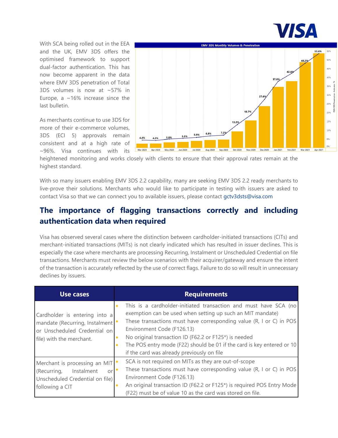

With SCA being rolled out in the EEA and the UK, EMV 3DS offers the optimised framework to support dual-factor authentication. This has now become apparent in the data where EMV 3DS penetration of Total 3DS volumes is now at ~57% in Europe, a  $\sim$  16% increase since the last bulletin.

As merchants continue to use 3DS for more of their e-commerce volumes, 3DS (ECI 5) approvals remain consistent and at a high rate of ~96%. Visa continues with its



heightened monitoring and works closely with clients to ensure that their approval rates remain at the highest standard.

With so many issuers enabling EMV 3DS 2.2 capability, many are seeking EMV 3DS 2.2 ready merchants to live-prove their solutions. Merchants who would like to participate in testing with issuers are asked to contact Visa so that we can connect you to available issuers, please contact [gctv3dsts@visa.com](file:///C:/Users/abrahamn/AppData/Local/Microsoft/Windows/INetCache/Content.Outlook/I8QKU44T/gctv3dsts@visa.com)

# **The importance of flagging transactions correctly and including authentication data when required**

Visa has observed several cases where the distinction between cardholder-initiated transactions (CITs) and merchant-initiated transactions (MITs) is not clearly indicated which has resulted in issuer declines. This is especially the case where merchants are processing Recurring, Instalment or Unscheduled Credential on file transactions. Merchants must review the below scenarios with their acquirer/gateway and ensure the intent of the transaction is accurately reflected by the use of correct flags. Failure to do so will result in unnecessary declines by issuers.

| <b>Use cases</b>                                                                                                            | <b>Requirements</b>                                                                                                                                                                                                                                                                                                                                                                                                  |
|-----------------------------------------------------------------------------------------------------------------------------|----------------------------------------------------------------------------------------------------------------------------------------------------------------------------------------------------------------------------------------------------------------------------------------------------------------------------------------------------------------------------------------------------------------------|
| Cardholder is entering into a<br>mandate (Recurring, Instalment<br>or Unscheduled Credential on<br>file) with the merchant. | This is a cardholder-initiated transaction and must have SCA (no<br>exemption can be used when setting up such an MIT mandate)<br>These transactions must have corresponding value (R, I or C) in POS<br>Environment Code (F126.13)<br>No original transaction ID (F62.2 or F125*) is needed<br>The POS entry mode (F22) should be 01 if the card is key entered or 10<br>if the card was already previously on file |
| Merchant is processing an MIT<br>(Recurring,<br>Instalment<br>or<br>Unscheduled Credential on file)<br>following a CIT      | SCA is not required on MITs as they are out-of-scope<br>These transactions must have corresponding value (R, I or C) in POS<br>Environment Code (F126.13)<br>An original transaction ID (F62.2 or F125*) is required POS Entry Mode<br>(F22) must be of value 10 as the card was stored on file.                                                                                                                     |